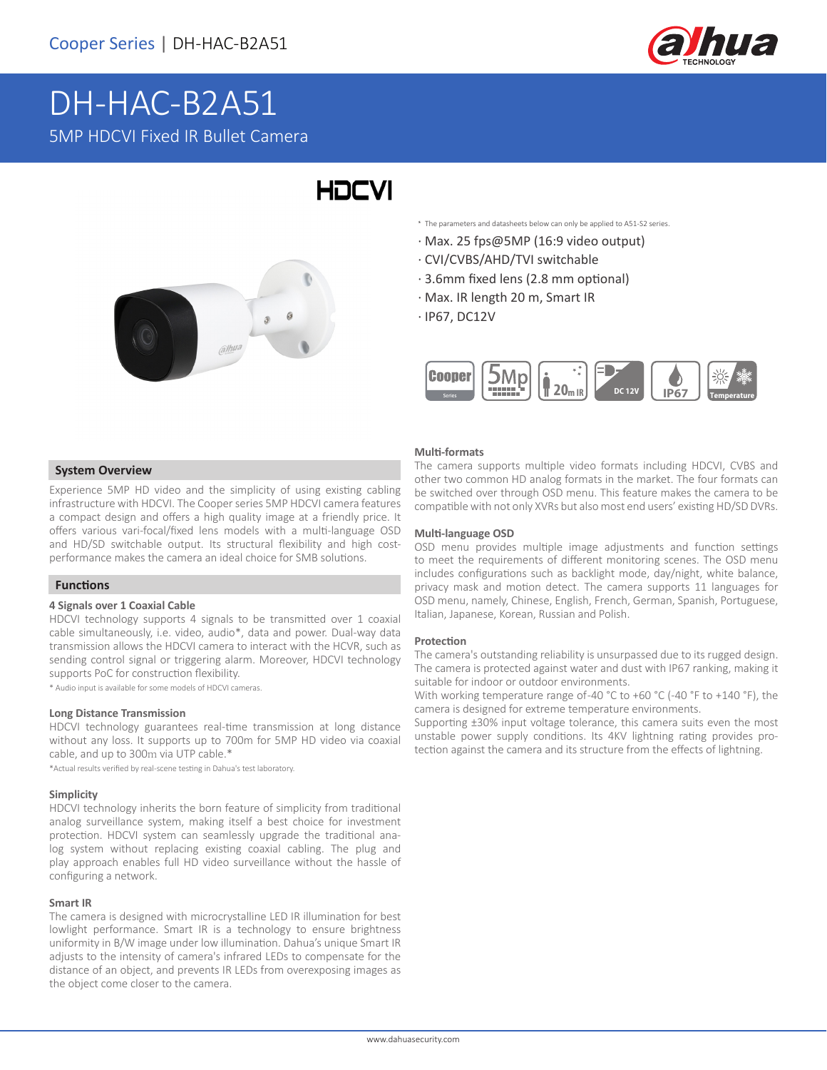

# DH-HAC-B2A51 5MP HDCVI Fixed IR Bullet Camera



# **HDCVI**

- \* The parameters and datasheets below can only be applied to A51-S2 series.
- · Max. 25 fps@5MP (16:9 video output)
- · CVI/CVBS/AHD/TVI switchable
- · 3.6mm fixed lens (2.8 mm optional)
- · Max. IR length 20 m, Smart IR
- · IP67, DC12V



#### **System Overview**

Experience 5MP HD video and the simplicity of using existing cabling infrastructure with HDCVI. The Cooper series 5MP HDCVI camera features a compact design and offers a high quality image at a friendly price. It offers various vari-focal/fixed lens models with a multi-language OSD and HD/SD switchable output. Its structural flexibility and high costperformance makes the camera an ideal choice for SMB solutions.

#### **Functions**

#### **4 Signals over 1 Coaxial Cable**

HDCVI technology supports 4 signals to be transmitted over 1 coaxial cable simultaneously, i.e. video, audio\*, data and power. Dual-way data transmission allows the HDCVI camera to interact with the HCVR, such as sending control signal or triggering alarm. Moreover, HDCVI technology supports PoC for construction flexibility.

\* Audio input is available for some models of HDCVI cameras.

#### **Long Distance Transmission**

HDCVI technology guarantees real-time transmission at long distance without any loss. It supports up to 700m for 5MP HD video via coaxial cable, and up to 300m via UTP cable.\*

\*Actual results verified by real-scene testing in Dahua's test laboratory.

#### **Simplicity**

HDCVI technology inherits the born feature of simplicity from traditional analog surveillance system, making itself a best choice for investment protection. HDCVI system can seamlessly upgrade the traditional analog system without replacing existing coaxial cabling. The plug and play approach enables full HD video surveillance without the hassle of configuring a network.

#### **Smart IR**

The camera is designed with microcrystalline LED IR illumination for best lowlight performance. Smart IR is a technology to ensure brightness uniformity in B/W image under low illumination. Dahua's unique Smart IR adjusts to the intensity of camera's infrared LEDs to compensate for the distance of an object, and prevents IR LEDs from overexposing images as the object come closer to the camera.

#### **Multi-formats**

The camera supports multiple video formats including HDCVI, CVBS and other two common HD analog formats in the market. The four formats can be switched over through OSD menu. This feature makes the camera to be compatible with not only XVRs but also most end users' existing HD/SD DVRs.

#### **Multi-language OSD**

OSD menu provides multiple image adjustments and function settings to meet the requirements of different monitoring scenes. The OSD menu includes configurations such as backlight mode, day/night, white balance, privacy mask and motion detect. The camera supports 11 languages for OSD menu, namely, Chinese, English, French, German, Spanish, Portuguese, Italian, Japanese, Korean, Russian and Polish.

#### **Protection**

The camera's outstanding reliability is unsurpassed due to its rugged design. The camera is protected against water and dust with IP67 ranking, making it suitable for indoor or outdoor environments.

With working temperature range of-40 °C to +60 °C (-40 °F to +140 °F), the camera is designed for extreme temperature environments.

Supporting ±30% input voltage tolerance, this camera suits even the most unstable power supply conditions. Its 4KV lightning rating provides protection against the camera and its structure from the effects of lightning.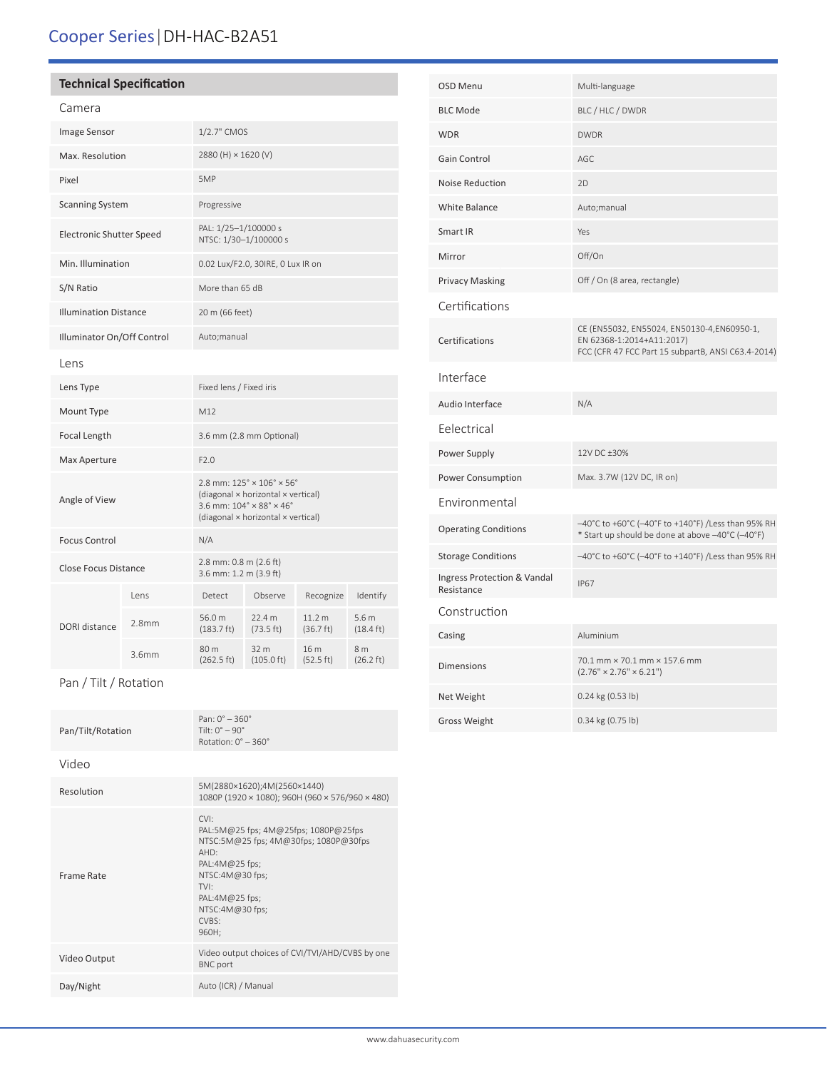# Cooper Series|DH-HAC-B2A51

## **Technical Specification**

|--|

| Image Sensor                    |                   | 1/2.7" CMOS                                                                                                                                                                                     |                              |                                |                                         |
|---------------------------------|-------------------|-------------------------------------------------------------------------------------------------------------------------------------------------------------------------------------------------|------------------------------|--------------------------------|-----------------------------------------|
| Max. Resolution                 |                   | 2880 (H) × 1620 (V)                                                                                                                                                                             |                              |                                |                                         |
| Pixel                           |                   | 5MP                                                                                                                                                                                             |                              |                                |                                         |
| <b>Scanning System</b>          |                   | Progressive                                                                                                                                                                                     |                              |                                |                                         |
| <b>Electronic Shutter Speed</b> |                   | PAL: 1/25-1/100000 s<br>NTSC: 1/30-1/100000 s                                                                                                                                                   |                              |                                |                                         |
| Min. Illumination               |                   | 0.02 Lux/F2.0, 30IRE, 0 Lux IR on                                                                                                                                                               |                              |                                |                                         |
| S/N Ratio                       |                   | More than 65 dB                                                                                                                                                                                 |                              |                                |                                         |
| <b>Illumination Distance</b>    |                   | 20 m (66 feet)                                                                                                                                                                                  |                              |                                |                                         |
| Illuminator On/Off Control      |                   | Auto;manual                                                                                                                                                                                     |                              |                                |                                         |
| Lens                            |                   |                                                                                                                                                                                                 |                              |                                |                                         |
| Lens Type                       |                   | Fixed lens / Fixed iris                                                                                                                                                                         |                              |                                |                                         |
| Mount Type                      |                   | M12                                                                                                                                                                                             |                              |                                |                                         |
| Focal Length                    |                   | 3.6 mm (2.8 mm Optional)                                                                                                                                                                        |                              |                                |                                         |
| Max Aperture                    |                   | F2.0                                                                                                                                                                                            |                              |                                |                                         |
| Angle of View                   |                   | $2.8$ mm: $125^\circ \times 106^\circ \times 56^\circ$<br>(diagonal × horizontal × vertical)<br>3.6 mm: $104^{\circ} \times 88^{\circ} \times 46^{\circ}$<br>(diagonal × horizontal × vertical) |                              |                                |                                         |
| <b>Focus Control</b>            |                   | N/A                                                                                                                                                                                             |                              |                                |                                         |
| <b>Close Focus Distance</b>     |                   | 2.8 mm: 0.8 m (2.6 ft)<br>3.6 mm: 1.2 m (3.9 ft)                                                                                                                                                |                              |                                |                                         |
| DORI distance                   | Lens              | Detect                                                                                                                                                                                          | Observe                      | Recognize                      | Identify                                |
|                                 | 2.8 <sub>mm</sub> | 56.0 m<br>$(183.7 \text{ ft})$                                                                                                                                                                  | 22.4 m<br>(73.5 ft)          | 11.2 <sub>m</sub><br>(36.7 ft) | 5.6 <sub>m</sub><br>$(18.4 \text{ ft})$ |
|                                 | 3.6mm             | 80 m<br>(262.5 ft)                                                                                                                                                                              | 32 m<br>$(105.0 \text{ ft})$ | 16 m<br>(52.5 ft)              | 8 <sub>m</sub><br>$(26.2 \text{ ft})$   |

Pan / Tilt / Rotation

| Pan/Tilt/Rotation | Pan: $0^{\circ} - 360^{\circ}$<br>Tilt: $0^\circ - 90^\circ$<br>Rotation: $0^\circ - 360^\circ$                                                                                                    |
|-------------------|----------------------------------------------------------------------------------------------------------------------------------------------------------------------------------------------------|
| Video             |                                                                                                                                                                                                    |
| Resolution        | 5M(2880×1620);4M(2560×1440)<br>1080P (1920 × 1080); 960H (960 × 576/960 × 480)                                                                                                                     |
| Frame Rate        | CVI<br>PAL:5M@25 fps; 4M@25fps; 1080P@25fps<br>NTSC:5M@25 fps; 4M@30fps; 1080P@30fps<br>AHD:<br>$PAL:4M@25$ fps;<br>NTSC:4M@30 fps;<br>TVI:<br>PAL:4M@25 fps;<br>NTSC:4M@30 fps;<br>CVBS:<br>960H: |
| Video Output      | Video output choices of CVI/TVI/AHD/CVBS by one<br><b>BNC</b> port                                                                                                                                 |
| Day/Night         | Auto (ICR) / Manual                                                                                                                                                                                |

| <b>OSD Menu</b>                           | Multi-language                                                                                                                |
|-------------------------------------------|-------------------------------------------------------------------------------------------------------------------------------|
| <b>BLC Mode</b>                           | BLC / HLC / DWDR                                                                                                              |
| <b>WDR</b>                                | <b>DWDR</b>                                                                                                                   |
| Gain Control                              | AGC                                                                                                                           |
| Noise Reduction                           | 2D                                                                                                                            |
| <b>White Balance</b>                      | Auto; manual                                                                                                                  |
| Smart IR                                  | Yes                                                                                                                           |
| Mirror                                    | Off/On                                                                                                                        |
| <b>Privacy Masking</b>                    | Off / On (8 area, rectangle)                                                                                                  |
| Certifications                            |                                                                                                                               |
| Certifications                            | CE (EN55032, EN55024, EN50130-4,EN60950-1,<br>EN 62368-1:2014+A11:2017)<br>FCC (CFR 47 FCC Part 15 subpartB, ANSI C63.4-2014) |
| Interface                                 |                                                                                                                               |
| Audio Interface                           | N/A                                                                                                                           |
| Eelectrical                               |                                                                                                                               |
| Power Supply                              | 12V DC +30%                                                                                                                   |
| Power Consumption                         | Max. 3.7W (12V DC, IR on)                                                                                                     |
| Environmental                             |                                                                                                                               |
| <b>Operating Conditions</b>               | -40°C to +60°C (-40°F to +140°F) /Less than 95% RH<br>* Start up should be done at above -40°C (-40°F)                        |
| <b>Storage Conditions</b>                 | -40°C to +60°C (-40°F to +140°F) /Less than 95% RH                                                                            |
| Ingress Protection & Vandal<br>Resistance | <b>IP67</b>                                                                                                                   |
| Construction                              |                                                                                                                               |
| Casing                                    | Aluminium                                                                                                                     |
| <b>Dimensions</b>                         | 70.1 mm × 70.1 mm × 157.6 mm<br>$(2.76" \times 2.76" \times 6.21")$                                                           |
| Net Weight                                | 0.24 kg (0.53 lb)                                                                                                             |
| <b>Gross Weight</b>                       | 0.34 kg (0.75 lb)                                                                                                             |